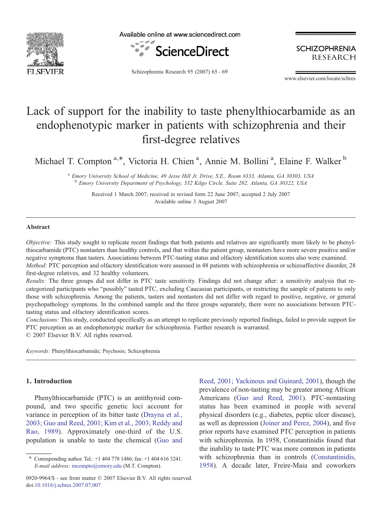

Available online at www.sciencedirect.com



**SCHIZOPHRENIA RESEARCH** 

Schizophrenia Research 95 (2007) 65–69

www.elsevier.com/locate/schres

# Lack of support for the inability to taste phenylthiocarbamide as an endophenotypic marker in patients with schizophrenia and their first-degree relatives

Michael T. Compton<sup>a,\*</sup>, Victoria H. Chien<sup>a</sup>, Annie M. Bollini<sup>a</sup>, Elaine F. Walker<sup>b</sup>

<sup>a</sup> Emory University School of Medicine, 49 Jesse Hill Jr. Drive, S.E., Room #333, Atlanta, GA 30303, USA <sup>b</sup> Emory University Department of Psychology, 532 Kilgo Circle, Suite 202, Atlanta, GA 30322, USA

Received 1 March 2007; received in revised form 22 June 2007; accepted 2 July 2007 Available online 3 August 2007

## Abstract

Objective: This study sought to replicate recent findings that both patients and relatives are significantly more likely to be phenylthiocarbamide (PTC) nontasters than healthy controls, and that within the patient group, nontasters have more severe positive and/or negative symptoms than tasters. Associations between PTC-tasting status and olfactory identification scores also were examined. Method: PTC perception and olfactory identification were assessed in 48 patients with schizophrenia or schizoaffective disorder, 28 first-degree relatives, and 32 healthy volunteers.

Results: The three groups did not differ in PTC taste sensitivity. Findings did not change after: a sensitivity analysis that recategorized participants who "possibly" tasted PTC, excluding Caucasian participants, or restricting the sample of patients to only those with schizophrenia. Among the patients, tasters and nontasters did not differ with regard to positive, negative, or general psychopathology symptoms. In the combined sample and the three groups separately, there were no associations between PTCtasting status and olfactory identification scores.

Conclusions: This study, conducted specifically as an attempt to replicate previously reported findings, failed to provide support for PTC perception as an endophenotypic marker for schizophrenia. Further research is warranted. © 2007 Elsevier B.V. All rights reserved.

Keywords: Phenylthiocarbamide; Psychosis; Schizophrenia

# 1. Introduction

Phenylthiocarbamide (PTC) is an antithyroid compound, and two specific genetic loci account for variance in perception of its bitter taste ([Drayna et al.,](#page-4-0) [2003; Guo and Reed, 2001; Kim et al., 2003; Reddy and](#page-4-0) [Rao, 1989\)](#page-4-0). Approximately one-third of the U.S. population is unable to taste the chemical ([Guo and](#page-4-0) [Reed, 2001; Yackinous and Guinard, 2001](#page-4-0)), though the prevalence of non-tasting may be greater among African Americans [\(Guo and Reed, 2001](#page-4-0)). PTC-nontasting status has been examined in people with several physical disorders (e.g., diabetes, peptic ulcer disease), as well as depression ([Joiner and Perez, 2004](#page-4-0)), and five prior reports have examined PTC perception in patients with schizophrenia. In 1958, Constantinidis found that the inability to taste PTC was more common in patients with schizophrenia than in controls [\(Constantinidis,](#page-4-0) [1958](#page-4-0)). A decade later, Freire-Maia and coworkers

<sup>⁎</sup> Corresponding author. Tel.: +1 404 778 1486; fax: +1 404 616 3241. E-mail address: [mcompto@emory.edu](mailto:mcompto@emory.edu) (M.T. Compton).

<sup>0920-9964/\$ -</sup> see front matter © 2007 Elsevier B.V. All rights reserved. doi[:10.1016/j.schres.2007.07.007](http://dx.doi.org/10.1016/j.schres.2007.07.007)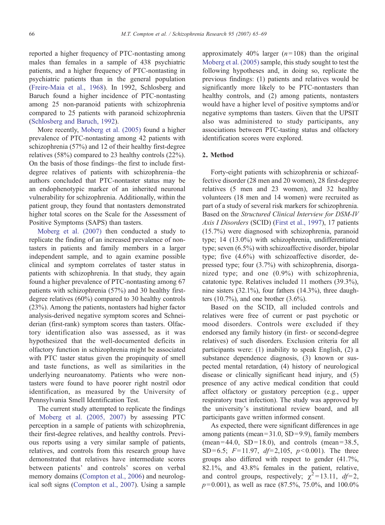reported a higher frequency of PTC-nontasting among males than females in a sample of 438 psychiatric patients, and a higher frequency of PTC-nontasting in psychiatric patients than in the general population [\(Freire-Maia et al., 1968](#page-4-0)). In 1992, Schlosberg and Baruch found a higher incidence of PTC-nontasting among 25 non-paranoid patients with schizophrenia compared to 25 patients with paranoid schizophrenia [\(Schlosberg and Baruch, 1992\)](#page-4-0).

More recently, [Moberg et al. \(2005\)](#page-4-0) found a higher prevalence of PTC-nontasting among 42 patients with schizophrenia (57%) and 12 of their healthy first-degree relatives (58%) compared to 23 healthy controls (22%). On the basis of those findings–the first to include firstdegree relatives of patients with schizophrenia–the authors concluded that PTC-nontaster status may be an endophenotypic marker of an inherited neuronal vulnerability for schizophrenia. Additionally, within the patient group, they found that nontasters demonstrated higher total scores on the Scale for the Assessment of Positive Symptoms (SAPS) than tasters.

[Moberg et al. \(2007\)](#page-4-0) then conducted a study to replicate the finding of an increased prevalence of nontasters in patients and family members in a larger independent sample, and to again examine possible clinical and symptom correlates of taster status in patients with schizophrenia. In that study, they again found a higher prevalence of PTC-nontasting among 67 patients with schizophrenia (57%) and 30 healthy firstdegree relatives (60%) compared to 30 healthy controls (23%). Among the patients, nontasters had higher factor analysis-derived negative symptom scores and Schneiderian (first-rank) symptom scores than tasters. Olfactory identification also was assessed, as it was hypothesized that the well-documented deficits in olfactory function in schizophrenia might be associated with PTC taster status given the propinquity of smell and taste functions, as well as similarities in the underlying neuroanatomy. Patients who were nontasters were found to have poorer right nostril odor identification, as measured by the University of Pennsylvania Smell Identification Test.

The current study attempted to replicate the findings of [Moberg et al. \(2005, 2007\)](#page-4-0) by assessing PTC perception in a sample of patients with schizophrenia, their first-degree relatives, and healthy controls. Previous reports using a very similar sample of patients, relatives, and controls from this research group have demonstrated that relatives have intermediate scores between patients' and controls' scores on verbal memory domains [\(Compton et al., 2006\)](#page-4-0) and neurological soft signs ([Compton et al., 2007](#page-4-0)). Using a sample

approximately 40% larger  $(n=108)$  than the original [Moberg et al. \(2005\)](#page-4-0) sample, this study sought to test the following hypotheses and, in doing so, replicate the previous findings: (1) patients and relatives would be significantly more likely to be PTC-nontasters than healthy controls, and (2) among patients, nontasters would have a higher level of positive symptoms and/or negative symptoms than tasters. Given that the UPSIT also was administered to study participants, any associations between PTC-tasting status and olfactory identification scores were explored.

# 2. Method

Forty-eight patients with schizophrenia or schizoaffective disorder (28 men and 20 women), 28 first-degree relatives (5 men and 23 women), and 32 healthy volunteers (18 men and 14 women) were recruited as part of a study of several risk markers for schizophrenia. Based on the Structured Clinical Interview for DSM-IV Axis I Disorders (SCID) [\(First et al., 1997](#page-4-0)), 17 patients (15.7%) were diagnosed with schizophrenia, paranoid type; 14 (13.0%) with schizophrenia, undifferentiated type; seven (6.5%) with schizoaffective disorder, bipolar type; five (4.6%) with schizoaffective disorder, depressed type; four (3.7%) with schizophrenia, disorganized type; and one (0.9%) with schizophrenia, catatonic type. Relatives included 11 mothers (39.3%), nine sisters (32.1%), four fathers (14.3%), three daughters  $(10.7\%)$ , and one brother  $(3.6\%)$ .

Based on the SCID, all included controls and relatives were free of current or past psychotic or mood disorders. Controls were excluded if they endorsed any family history (in first- or second-degree relatives) of such disorders. Exclusion criteria for all participants were: (1) inability to speak English, (2) a substance dependence diagnosis, (3) known or suspected mental retardation, (4) history of neurological disease or clinically significant head injury, and (5) presence of any active medical condition that could affect olfactory or gustatory perception (e.g., upper respiratory tract infection). The study was approved by the university's institutional review board, and all participants gave written informed consent.

As expected, there were significant differences in age among patients (mean= $31.0$ , SD= $9.9$ ), family members  $(mean = 44.0, SD = 18.0), and controls (mean = 38.5,$ SD=6.5;  $F=11.97$ ,  $df=2,105$ ,  $p<0.001$ ). The three groups also differed with respect to gender (41.7%, 82.1%, and 43.8% females in the patient, relative, and control groups, respectively;  $\chi^2 = 13.11$ ,  $df=2$ ,  $p= 0.001$ ), as well as race (87.5%, 75.0%, and 100.0%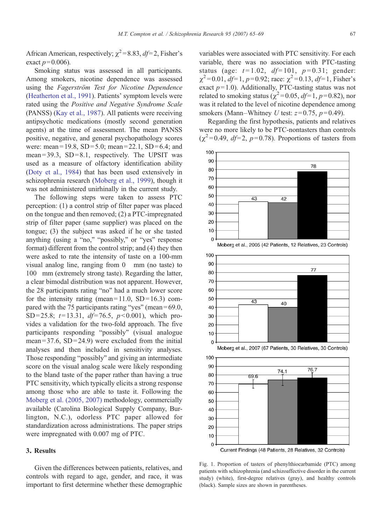<span id="page-2-0"></span>African American, respectively;  $\chi^2$  = 8.83, df = 2, Fisher's exact  $p = 0.006$ ).

Smoking status was assessed in all participants. Among smokers, nicotine dependence was assessed using the Fagerström Test for Nicotine Dependence [\(Heatherton et al., 1991\)](#page-4-0). Patients' symptom levels were rated using the Positive and Negative Syndrome Scale (PANSS) [\(Kay et al., 1987\)](#page-4-0). All patients were receiving antipsychotic medications (mostly second generation agents) at the time of assessment. The mean PANSS positive, negative, and general psychopathology scores were: mean = 19.8,  $SD = 5.0$ ; mean = 22.1,  $SD = 6.4$ ; and mean =  $39.3$ , SD =  $8.1$ , respectively. The UPSIT was used as a measure of olfactory identification ability [\(Doty et al., 1984\)](#page-4-0) that has been used extensively in schizophrenia research ([Moberg et al., 1999](#page-4-0)), though it was not administered unirhinally in the current study.

The following steps were taken to assess PTC perception: (1) a control strip of filter paper was placed on the tongue and then removed; (2) a PTC-impregnated strip of filter paper (same supplier) was placed on the tongue; (3) the subject was asked if he or she tasted anything (using a "no," "possibly," or "yes" response format) different from the control strip; and (4) they then were asked to rate the intensity of taste on a 100-mm visual analog line, ranging from 0 mm (no taste) to 100 mm (extremely strong taste). Regarding the latter, a clear bimodal distribution was not apparent. However, the 28 participants rating "no" had a much lower score for the intensity rating (mean= $11.0$ , SD= $16.3$ ) compared with the 75 participants rating "yes" (mean =  $69.0$ , SD=25.8;  $t=13.31$ ,  $df=76.5$ ,  $p<0.001$ ), which provides a validation for the two-fold approach. The five participants responding "possibly" (visual analogue mean =  $37.6$ , SD =  $24.9$ ) were excluded from the initial analyses and then included in sensitivity analyses. Those responding "possibly" and giving an intermediate score on the visual analog scale were likely responding to the bland taste of the paper rather than having a true PTC sensitivity, which typically elicits a strong response among those who are able to taste it. Following the [Moberg et al. \(2005, 2007\)](#page-4-0) methodology, commercially available (Carolina Biological Supply Company, Burlington, N.C.), odorless PTC paper allowed for standardization across administrations. The paper strips were impregnated with 0.007 mg of PTC.

## 3. Results

Given the differences between patients, relatives, and controls with regard to age, gender, and race, it was important to first determine whether these demographic

variables were associated with PTC sensitivity. For each variable, there was no association with PTC-tasting status (age:  $t = 1.02$ ,  $df = 101$ ,  $p = 0.31$ ; gender:  $\chi^2$  = 0.01, df = 1, p = 0.92; race:  $\chi^2$  = 0.13, df = 1, Fisher's exact  $p=1.0$ ). Additionally, PTC-tasting status was not related to smoking status ( $\chi^2$ =0.05, df=1, p=0.82), nor was it related to the level of nicotine dependence among smokers (Mann–Whitney U test:  $z=0.75$ ,  $p=0.49$ ).

Regarding the first hypothesis, patients and relatives were no more likely to be PTC-nontasters than controls  $(\chi^2=0.49, d\mathit{f}=2, p=0.78)$ . Proportions of tasters from









Fig. 1. Proportion of tasters of phenylthiocarbamide (PTC) among patients with schizophrenia (and schizoaffective disorder in the current study) (white), first-degree relatives (gray), and healthy controls (black). Sample sizes are shown in parentheses.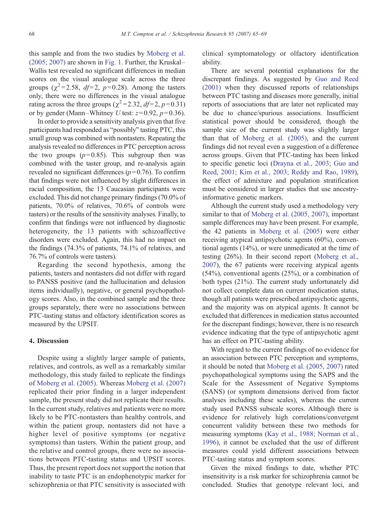this sample and from the two studies by [Moberg et al.](#page-4-0) [\(2005](#page-4-0); [2007\)](#page-4-0) are shown in [Fig. 1.](#page-2-0) Further, the Kruskal– Wallis test revealed no significant differences in median scores on the visual analogue scale across the three groups ( $\chi^2$ =2.58, *df*=2, *p*=0.28). Among the tasters only, there were no differences in the visual analogue rating across the three groups ( $\chi^2$ =2.32, df=2, p=0.31) or by gender (Mann–Whitney U test:  $z=0.92$ ,  $p=0.36$ ).

In order to provide a sensitivity analysis given that five participants had responded as "possibly" tasting PTC, this small group was combined with nontasters. Repeating the analysis revealed no differences in PTC perception across the two groups  $(p= 0.85)$ . This subgroup then was combined with the taster group, and re-analysis again revealed no significant differences ( $p=0.76$ ). To confirm that findings were not influenced by slight differences in racial composition, the 13 Caucasian participants were excluded. This did not change primary findings (70.0% of patients, 70.0% of relatives, 70.6% of controls were tasters) or the results of the sensitivity analyses. Finally, to confirm that findings were not influenced by diagnostic heterogeneity, the 13 patients with schizoaffective disorders were excluded. Again, this had no impact on the findings (74.3% of patients, 74.1% of relatives, and 76.7% of controls were tasters).

Regarding the second hypothesis, among the patients, tasters and nontasters did not differ with regard to PANSS positive (and the hallucination and delusion items individually), negative, or general psychopathology scores. Also, in the combined sample and the three groups separately, there were no associations between PTC-tasting status and olfactory identification scores as measured by the UPSIT.

## 4. Discussion

Despite using a slightly larger sample of patients, relatives, and controls, as well as a remarkably similar methodology, this study failed to replicate the findings of [Moberg et al. \(2005\).](#page-4-0) Whereas [Moberg et al. \(2007\)](#page-4-0) replicated their prior finding in a larger independent sample, the present study did not replicate their results. In the current study, relatives and patients were no more likely to be PTC-nontasters than healthy controls, and within the patient group, nontasters did not have a higher level of positive symptoms (or negative symptoms) than tasters. Within the patient group, and the relative and control groups, there were no associations between PTC-tasting status and UPSIT scores. Thus, the present report does not support the notion that inability to taste PTC is an endophenotypic marker for schizophrenia or that PTC sensitivity is associated with clinical symptomatology or olfactory identification ability.

There are several potential explanations for the discrepant findings. As suggested by [Guo and Reed](#page-4-0) [\(2001\)](#page-4-0) when they discussed reports of relationships between PTC tasting and diseases more generally, initial reports of associations that are later not replicated may be due to chance/spurious associations. Insufficient statistical power should be considered, though the sample size of the current study was slightly larger than that of [Moberg et al. \(2005\),](#page-4-0) and the current findings did not reveal even a suggestion of a difference across groups. Given that PTC-tasting has been linked to specific genetic loci [\(Drayna et al., 2003; Guo and](#page-4-0) [Reed, 2001; Kim et al., 2003; Reddy and Rao, 1989\)](#page-4-0), the effect of admixture and population stratification must be considered in larger studies that use ancestryinformative genetic markers.

Although the current study used a methodology very similar to that of [Moberg et al. \(2005, 2007\),](#page-4-0) important sample differences may have been present. For example, the 42 patients in [Moberg et al. \(2005\)](#page-4-0) were either receiving atypical antipsychotic agents (60%), conventional agents (14%), or were unmedicated at the time of testing (26%). In their second report ([Moberg et al.,](#page-4-0) [2007](#page-4-0)), the 67 patients were receiving atypical agents (54%), conventional agents (25%), or a combination of both types (21%). The current study unfortunately did not collect complete data on current medication status, though all patients were prescribed antipsychotic agents, and the majority was on atypical agents. It cannot be excluded that differences in medication status accounted for the discrepant findings; however, there is no research evidence indicating that the type of antipsychotic agent has an effect on PTC-tasting ability.

With regard to the current findings of no evidence for an association between PTC perception and symptoms, it should be noted that [Moberg et al. \(2005, 2007\)](#page-4-0) rated psychopathological symptoms using the SAPS and the Scale for the Assessment of Negative Symptoms (SANS) (or symptom dimensions derived from factor analyses including these scales), whereas the current study used PANSS subscale scores. Although there is evidence for relatively high correlations/convergent concurrent validity between these two methods for measuring symptoms ([Kay et al., 1988; Norman et al.,](#page-4-0) [1996](#page-4-0)), it cannot be excluded that the use of different measures could yield different associations between PTC-tasting status and symptom scores.

Given the mixed findings to date, whether PTC insensitivity is a risk marker for schizophrenia cannot be concluded. Studies that genotype relevant loci, and